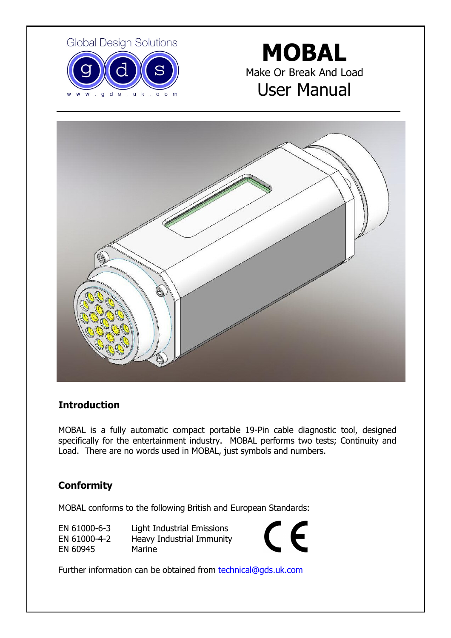

# **MOBAL** Make Or Break And Load User Manual



# Introduction

MOBAL is a fully automatic compact portable 19-Pin cable diagnostic tool, designed specifically for the entertainment industry. MOBAL performs two tests; Continuity and Load. There are no words used in MOBAL, just symbols and numbers.

# **Conformity**

MOBAL conforms to the following British and European Standards:

| EN 61000-6-3 | Light Industrial Emissions |
|--------------|----------------------------|
| EN 61000-4-2 | Heavy Industrial Immunity  |
| EN 60945     | Marine                     |



Further information can be obtained from **technical@gds.uk.com**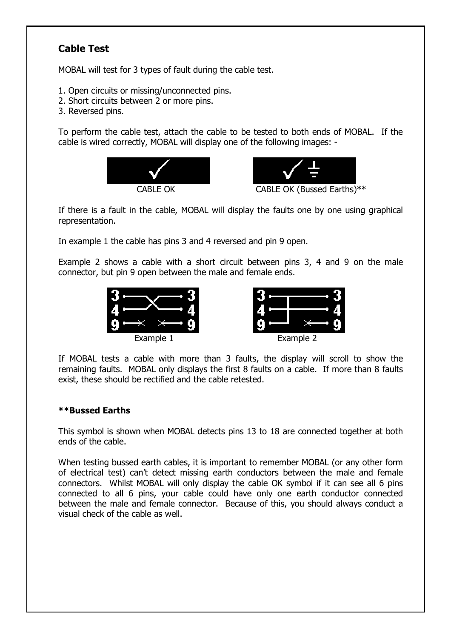# Cable Test

MOBAL will test for 3 types of fault during the cable test.

- 1. Open circuits or missing/unconnected pins.
- 2. Short circuits between 2 or more pins.
- 3. Reversed pins.

To perform the cable test, attach the cable to be tested to both ends of MOBAL. If the cable is wired correctly, MOBAL will display one of the following images: -





If there is a fault in the cable, MOBAL will display the faults one by one using graphical representation.

In example 1 the cable has pins 3 and 4 reversed and pin 9 open.

Example 2 shows a cable with a short circuit between pins 3, 4 and 9 on the male connector, but pin 9 open between the male and female ends.





If MOBAL tests a cable with more than 3 faults, the display will scroll to show the remaining faults. MOBAL only displays the first 8 faults on a cable. If more than 8 faults exist, these should be rectified and the cable retested.

#### \*\*Bussed Earths

This symbol is shown when MOBAL detects pins 13 to 18 are connected together at both ends of the cable.

When testing bussed earth cables, it is important to remember MOBAL (or any other form of electrical test) can't detect missing earth conductors between the male and female connectors. Whilst MOBAL will only display the cable OK symbol if it can see all 6 pins connected to all 6 pins, your cable could have only one earth conductor connected between the male and female connector. Because of this, you should always conduct a visual check of the cable as well.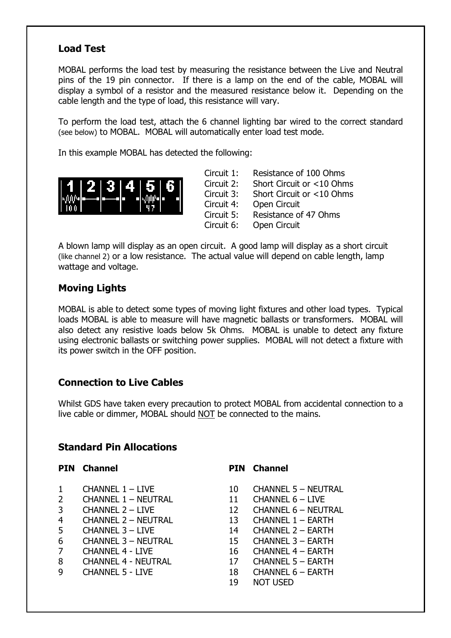# Load Test

MOBAL performs the load test by measuring the resistance between the Live and Neutral pins of the 19 pin connector. If there is a lamp on the end of the cable, MOBAL will display a symbol of a resistor and the measured resistance below it. Depending on the cable length and the type of load, this resistance will vary.

To perform the load test, attach the 6 channel lighting bar wired to the correct standard (see below) to MOBAL. MOBAL will automatically enter load test mode.

In this example MOBAL has detected the following:



Circuit 1: Resistance of 100 Ohms Circuit 2: Short Circuit or <10 Ohms Circuit 3: Short Circuit or <10 Ohms Circuit 4: Open Circuit Circuit 5: Resistance of 47 Ohms Circuit 6: Open Circuit

A blown lamp will display as an open circuit. A good lamp will display as a short circuit (like channel 2) or a low resistance. The actual value will depend on cable length, lamp wattage and voltage.

# Moving Lights

MOBAL is able to detect some types of moving light fixtures and other load types. Typical loads MOBAL is able to measure will have magnetic ballasts or transformers. MOBAL will also detect any resistive loads below 5k Ohms. MOBAL is unable to detect any fixture using electronic ballasts or switching power supplies. MOBAL will not detect a fixture with its power switch in the OFF position.

# Connection to Live Cables

Whilst GDS have taken every precaution to protect MOBAL from accidental connection to a live cable or dimmer, MOBAL should NOT be connected to the mains.

### Standard Pin Allocations

- 
- 2 CHANNEL 1 NEUTRAL 11 CHANNEL 6 LIVE
- 
- 
- 
- 6 CHANNEL 3 NEUTRAL 15 CHANNEL 3 EARTH
- 
- 
- 

#### PIN Channel PIN Channel

- 1 CHANNEL 1 LIVE 10 CHANNEL 5 NEUTRAL
	-
- 3 CHANNEL 2 LIVE 12 CHANNEL 6 NEUTRAL
- 4 CHANNEL 2 NEUTRAL 13 CHANNEL 1 EARTH
- 5 CHANNEL 3 LIVE 14 CHANNEL 2 EARTH
	-
- 7 CHANNEL 4 LIVE 16 CHANNEL 4 EARTH
- 8 CHANNEL 4 NEUTRAL 17 CHANNEL 5 EARTH
- 9 CHANNEL 5 LIVE 18 CHANNEL 6 EARTH
	- 19 NOT USED